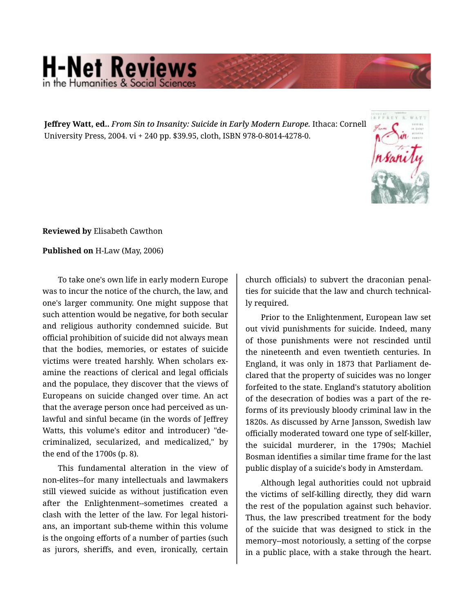## **H-Net Reviews** he Humanities & Social S

**Jeffrey Watt, ed..** *From Sin to Insanity: Suicide in Early Modern Europe.* Ithaca: Cornell University Press, 2004. vi + 240 pp. \$39.95, cloth, ISBN 978-0-8014-4278-0.



**Reviewed by** Elisabeth Cawthon

## **Published on** H-Law (May, 2006)

To take one's own life in early modern Europe was to incur the notice of the church, the law, and one's larger community. One might suppose that such attention would be negative, for both secular and religious authority condemned suicide. But official prohibition of suicide did not always mean that the bodies, memories, or estates of suicide victims were treated harshly. When scholars ex‐ amine the reactions of clerical and legal officials and the populace, they discover that the views of Europeans on suicide changed over time. An act that the average person once had perceived as un‐ lawful and sinful became (in the words of Jeffrey Watts, this volume's editor and introducer) "de‐ criminalized, secularized, and medicalized," by the end of the 1700s (p. 8).

This fundamental alteration in the view of non-elites--for many intellectuals and lawmakers still viewed suicide as without justification even after the Enlightenment--sometimes created a clash with the letter of the law. For legal histori‐ ans, an important sub-theme within this volume is the ongoing efforts of a number of parties (such as jurors, sheriffs, and even, ironically, certain

church officials) to subvert the draconian penal‐ ties for suicide that the law and church technical‐ ly required.

Prior to the Enlightenment, European law set out vivid punishments for suicide. Indeed, many of those punishments were not rescinded until the nineteenth and even twentieth centuries. In England, it was only in 1873 that Parliament de‐ clared that the property of suicides was no longer forfeited to the state. England's statutory abolition of the desecration of bodies was a part of the re‐ forms of its previously bloody criminal law in the 1820s. As discussed by Arne Jansson, Swedish law officially moderated toward one type of self-killer, the suicidal murderer, in the 1790s; Machiel Bosman identifies a similar time frame for the last public display of a suicide's body in Amsterdam.

Although legal authorities could not upbraid the victims of self-killing directly, they did warn the rest of the population against such behavior. Thus, the law prescribed treatment for the body of the suicide that was designed to stick in the memory--most notoriously, a setting of the corpse in a public place, with a stake through the heart.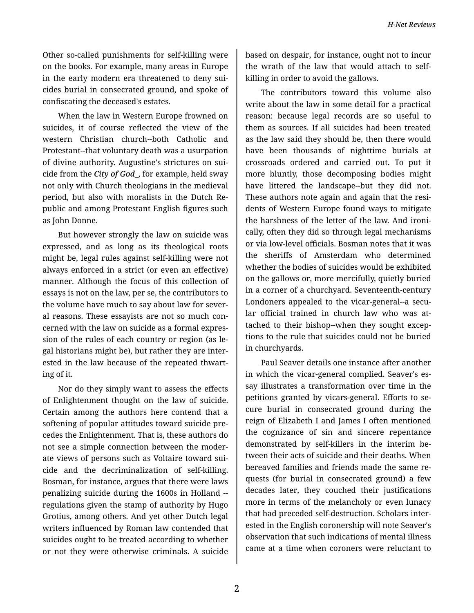Other so-called punishments for self-killing were on the books. For example, many areas in Europe in the early modern era threatened to deny sui‐ cides burial in consecrated ground, and spoke of confiscating the deceased's estates.

When the law in Western Europe frowned on suicides, it of course reflected the view of the western Christian church--both Catholic and Protestant--that voluntary death was a usurpation of divine authority. Augustine's strictures on sui‐ cide from the *City of God*\_, for example, held sway not only with Church theologians in the medieval period, but also with moralists in the Dutch Re‐ public and among Protestant English figures such as John Donne.

But however strongly the law on suicide was expressed, and as long as its theological roots might be, legal rules against self-killing were not always enforced in a strict (or even an effective) manner. Although the focus of this collection of essays is not on the law, per se, the contributors to the volume have much to say about law for sever‐ al reasons. These essayists are not so much con‐ cerned with the law on suicide as a formal expres‐ sion of the rules of each country or region (as le‐ gal historians might be), but rather they are inter‐ ested in the law because of the repeated thwart‐ ing of it.

Nor do they simply want to assess the effects of Enlightenment thought on the law of suicide. Certain among the authors here contend that a softening of popular attitudes toward suicide pre‐ cedes the Enlightenment. That is, these authors do not see a simple connection between the moder‐ ate views of persons such as Voltaire toward sui‐ cide and the decriminalization of self-killing. Bosman, for instance, argues that there were laws penalizing suicide during the 1600s in Holland - regulations given the stamp of authority by Hugo Grotius, among others. And yet other Dutch legal writers influenced by Roman law contended that suicides ought to be treated according to whether or not they were otherwise criminals. A suicide

based on despair, for instance, ought not to incur the wrath of the law that would attach to selfkilling in order to avoid the gallows.

The contributors toward this volume also write about the law in some detail for a practical reason: because legal records are so useful to them as sources. If all suicides had been treated as the law said they should be, then there would have been thousands of nighttime burials at crossroads ordered and carried out. To put it more bluntly, those decomposing bodies might have littered the landscape--but they did not. These authors note again and again that the resi‐ dents of Western Europe found ways to mitigate the harshness of the letter of the law. And ironi‐ cally, often they did so through legal mechanisms or via low-level officials. Bosman notes that it was the sheriffs of Amsterdam who determined whether the bodies of suicides would be exhibited on the gallows or, more mercifully, quietly buried in a corner of a churchyard. Seventeenth-century Londoners appealed to the vicar-general--a secu‐ lar official trained in church law who was at‐ tached to their bishop--when they sought excep‐ tions to the rule that suicides could not be buried in churchyards.

Paul Seaver details one instance after another in which the vicar-general complied. Seaver's essay illustrates a transformation over time in the petitions granted by vicars-general. Efforts to se‐ cure burial in consecrated ground during the reign of Elizabeth I and James I often mentioned the cognizance of sin and sincere repentance demonstrated by self-killers in the interim be‐ tween their acts of suicide and their deaths. When bereaved families and friends made the same re‐ quests (for burial in consecrated ground) a few decades later, they couched their justifications more in terms of the melancholy or even lunacy that had preceded self-destruction. Scholars inter‐ ested in the English coronership will note Seaver's observation that such indications of mental illness came at a time when coroners were reluctant to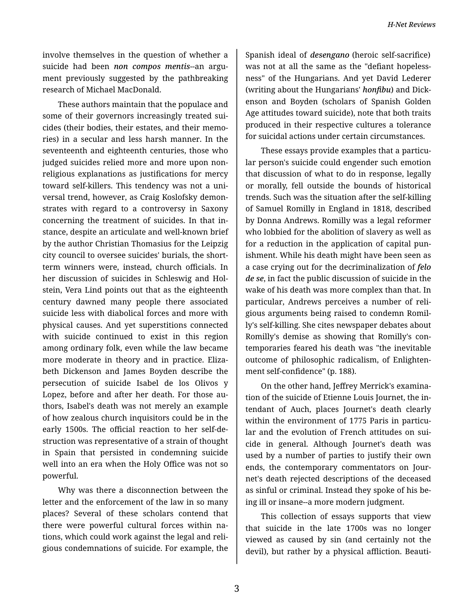involve themselves in the question of whether a suicide had been *non compos mentis*--an argu‐ ment previously suggested by the pathbreaking research of Michael MacDonald.

These authors maintain that the populace and some of their governors increasingly treated suicides (their bodies, their estates, and their memo‐ ries) in a secular and less harsh manner. In the seventeenth and eighteenth centuries, those who judged suicides relied more and more upon nonreligious explanations as justifications for mercy toward self-killers. This tendency was not a uni‐ versal trend, however, as Craig Koslofsky demon‐ strates with regard to a controversy in Saxony concerning the treatment of suicides. In that in‐ stance, despite an articulate and well-known brief by the author Christian Thomasius for the Leipzig city council to oversee suicides' burials, the shortterm winners were, instead, church officials. In her discussion of suicides in Schleswig and Hol‐ stein, Vera Lind points out that as the eighteenth century dawned many people there associated suicide less with diabolical forces and more with physical causes. And yet superstitions connected with suicide continued to exist in this region among ordinary folk, even while the law became more moderate in theory and in practice. Eliza‐ beth Dickenson and James Boyden describe the persecution of suicide Isabel de los Olivos y Lopez, before and after her death. For those au‐ thors, Isabel's death was not merely an example of how zealous church inquisitors could be in the early 1500s. The official reaction to her self-de‐ struction was representative of a strain of thought in Spain that persisted in condemning suicide well into an era when the Holy Office was not so powerful.

Why was there a disconnection between the letter and the enforcement of the law in so many places? Several of these scholars contend that there were powerful cultural forces within na‐ tions, which could work against the legal and reli‐ gious condemnations of suicide. For example, the

Spanish ideal of *desengano* (heroic self-sacrifice) was not at all the same as the "defiant hopeless‐ ness" of the Hungarians. And yet David Lederer (writing about the Hungarians' *honfibu*) and Dick‐ enson and Boyden (scholars of Spanish Golden Age attitudes toward suicide), note that both traits produced in their respective cultures a tolerance for suicidal actions under certain circumstances.

These essays provide examples that a particu‐ lar person's suicide could engender such emotion that discussion of what to do in response, legally or morally, fell outside the bounds of historical trends. Such was the situation after the self-killing of Samuel Romilly in England in 1818, described by Donna Andrews. Romilly was a legal reformer who lobbied for the abolition of slavery as well as for a reduction in the application of capital pun‐ ishment. While his death might have been seen as a case crying out for the decriminalization of *felo de se*, in fact the public discussion of suicide in the wake of his death was more complex than that. In particular, Andrews perceives a number of reli‐ gious arguments being raised to condemn Romil‐ ly's self-killing. She cites newspaper debates about Romilly's demise as showing that Romilly's con‐ temporaries feared his death was "the inevitable outcome of philosophic radicalism, of Enlighten‐ ment self-confidence" (p. 188).

On the other hand, Jeffrey Merrick's examina‐ tion of the suicide of Etienne Louis Journet, the in‐ tendant of Auch, places Journet's death clearly within the environment of 1775 Paris in particular and the evolution of French attitudes on sui‐ cide in general. Although Journet's death was used by a number of parties to justify their own ends, the contemporary commentators on Jour‐ net's death rejected descriptions of the deceased as sinful or criminal. Instead they spoke of his be‐ ing ill or insane--a more modern judgment.

This collection of essays supports that view that suicide in the late 1700s was no longer viewed as caused by sin (and certainly not the devil), but rather by a physical affliction. Beauti‐

3